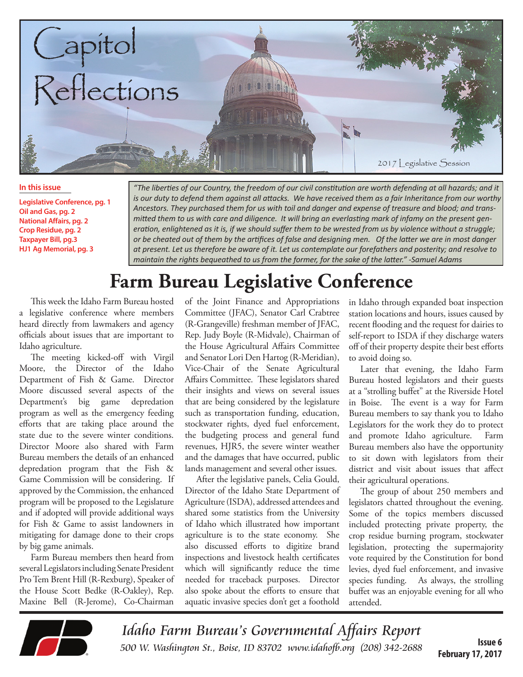

#### **In this issue**

**Legislative Conference, pg. 1 Oil and Gas, pg. 2 National Affairs, pg. 2 Crop Residue, pg. 2 Taxpayer Bill, pg.3 HJ1 Ag Memorial, pg. 3**

*"The liberties of our Country, the freedom of our civil constitution are worth defending at all hazards; and it is our duty to defend them against all attacks. We have received them as a fair Inheritance from our worthy Ancestors. They purchased them for us with toil and danger and expense of treasure and blood; and transmitted them to us with care and diligence. It will bring an everlasting mark of infamy on the present generation, enlightened as it is, if we should suffer them to be wrested from us by violence without a struggle; or be cheated out of them by the artifices of false and designing men. Of the latter we are in most danger at present. Let us therefore be aware of it. Let us contemplate our forefathers and posterity; and resolve to maintain the rights bequeathed to us from the former, for the sake of the latter." -Samuel Adams*

## **Farm Bureau Legislative Conference**

This week the Idaho Farm Bureau hosted a legislative conference where members heard directly from lawmakers and agency officials about issues that are important to Idaho agriculture.

The meeting kicked-off with Virgil Moore, the Director of the Idaho Department of Fish & Game. Director Moore discussed several aspects of the Department's big game depredation program as well as the emergency feeding efforts that are taking place around the state due to the severe winter conditions. Director Moore also shared with Farm Bureau members the details of an enhanced depredation program that the Fish & Game Commission will be considering. If approved by the Commission, the enhanced program will be proposed to the Legislature and if adopted will provide additional ways for Fish & Game to assist landowners in mitigating for damage done to their crops by big game animals.

Farm Bureau members then heard from several Legislators including Senate President Pro Tem Brent Hill (R-Rexburg), Speaker of the House Scott Bedke (R-Oakley), Rep. Maxine Bell (R-Jerome), Co-Chairman of the Joint Finance and Appropriations Committee (JFAC), Senator Carl Crabtree (R-Grangeville) freshman member of JFAC, Rep. Judy Boyle (R-Midvale), Chairman of the House Agricultural Affairs Committee and Senator Lori Den Hartog (R-Meridian), Vice-Chair of the Senate Agricultural Affairs Committee. These legislators shared their insights and views on several issues that are being considered by the legislature such as transportation funding, education, stockwater rights, dyed fuel enforcement, the budgeting process and general fund revenues, HJR5, the severe winter weather and the damages that have occurred, public lands management and several other issues.

After the legislative panels, Celia Gould, Director of the Idaho State Department of Agriculture (ISDA), addressed attendees and shared some statistics from the University of Idaho which illustrated how important agriculture is to the state economy. She also discussed efforts to digitize brand inspections and livestock health certificates which will significantly reduce the time needed for traceback purposes. Director also spoke about the efforts to ensure that aquatic invasive species don't get a foothold

in Idaho through expanded boat inspection station locations and hours, issues caused by recent flooding and the request for dairies to self-report to ISDA if they discharge waters off of their property despite their best efforts to avoid doing so.

Later that evening, the Idaho Farm Bureau hosted legislators and their guests at a "strolling buffet" at the Riverside Hotel in Boise. The event is a way for Farm Bureau members to say thank you to Idaho Legislators for the work they do to protect and promote Idaho agriculture. Farm Bureau members also have the opportunity to sit down with legislators from their district and visit about issues that affect their agricultural operations.

The group of about 250 members and legislators chatted throughout the evening. Some of the topics members discussed included protecting private property, the crop residue burning program, stockwater legislation, protecting the supermajority vote required by the Constitution for bond levies, dyed fuel enforcement, and invasive species funding. As always, the strolling buffet was an enjoyable evening for all who attended.



Idaho Farm Bureau's Governmental Affairs Report 500 W. Washington St., Boise, ID 83702 [www.idahofb.org \(2](http://www.idahofb.org)08) 342-2688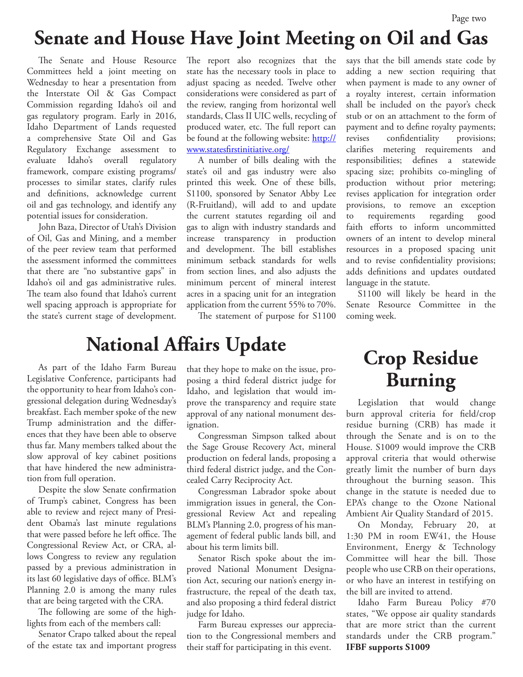#### **Senate and House Have Joint Meeting on Oil and Gas**

The Senate and House Resource Committees held a joint meeting on Wednesday to hear a presentation from the Interstate Oil & Gas Compact Commission regarding Idaho's oil and gas regulatory program. Early in 2016, Idaho Department of Lands requested a comprehensive State Oil and Gas Regulatory Exchange assessment to evaluate Idaho's overall regulatory framework, compare existing programs/ processes to similar states, clarify rules and definitions, acknowledge current oil and gas technology, and identify any potential issues for consideration.

John Baza, Director of Utah's Division of Oil, Gas and Mining, and a member of the peer review team that performed the assessment informed the committees that there are "no substantive gaps" in Idaho's oil and gas administrative rules. The team also found that Idaho's current well spacing approach is appropriate for the state's current stage of development.

The report also recognizes that the state has the necessary tools in place to adjust spacing as needed. Twelve other considerations were considered as part of the review, ranging from horizontal well standards, Class II UIC wells, recycling of produced water, etc. The full report can be found at the following website: [http://](http://www.statesfirstinitiative.org/) [www.statesfirstinitiative.org/](http://www.statesfirstinitiative.org/)

A number of bills dealing with the state's oil and gas industry were also printed this week. One of these bills, S1100, sponsored by Senator Abby Lee (R-Fruitland), will add to and update the current statutes regarding oil and gas to align with industry standards and increase transparency in production and development. The bill establishes minimum setback standards for wells from section lines, and also adjusts the minimum percent of mineral interest acres in a spacing unit for an integration application from the current 55% to 70%.

The statement of purpose for S1100

#### **National Affairs Update**

As part of the Idaho Farm Bureau Legislative Conference, participants had the opportunity to hear from Idaho's congressional delegation during Wednesday's breakfast. Each member spoke of the new Trump administration and the differences that they have been able to observe thus far. Many members talked about the slow approval of key cabinet positions that have hindered the new administration from full operation.

Despite the slow Senate confirmation of Trump's cabinet, Congress has been able to review and reject many of President Obama's last minute regulations that were passed before he left office. The Congressional Review Act, or CRA, allows Congress to review any regulation passed by a previous administration in its last 60 legislative days of office. BLM's Planning 2.0 is among the many rules that are being targeted with the CRA.

The following are some of the highlights from each of the members call:

Senator Crapo talked about the repeal of the estate tax and important progress

that they hope to make on the issue, proposing a third federal district judge for Idaho, and legislation that would improve the transparency and require state approval of any national monument designation.

Congressman Simpson talked about the Sage Grouse Recovery Act, mineral production on federal lands, proposing a third federal district judge, and the Concealed Carry Reciprocity Act.

Congressman Labrador spoke about immigration issues in general, the Congressional Review Act and repealing BLM's Planning 2.0, progress of his management of federal public lands bill, and about his term limits bill.

Senator Risch spoke about the improved National Monument Designation Act, securing our nation's energy infrastructure, the repeal of the death tax, and also proposing a third federal district judge for Idaho.

Farm Bureau expresses our appreciation to the Congressional members and their staff for participating in this event.

says that the bill amends state code by adding a new section requiring that when payment is made to any owner of a royalty interest, certain information shall be included on the payor's check stub or on an attachment to the form of payment and to define royalty payments; revises confidentiality provisions; clarifies metering requirements and responsibilities; defines a statewide spacing size; prohibits co-mingling of production without prior metering; revises application for integration order provisions, to remove an exception to requirements regarding good faith efforts to inform uncommitted owners of an intent to develop mineral resources in a proposed spacing unit and to revise confidentiality provisions; adds definitions and updates outdated language in the statute.

S1100 will likely be heard in the Senate Resource Committee in the coming week.

#### **Crop Residue Burning**

Legislation that would change burn approval criteria for field/crop residue burning (CRB) has made it through the Senate and is on to the House. S1009 would improve the CRB approval criteria that would otherwise greatly limit the number of burn days throughout the burning season. This change in the statute is needed due to EPA's change to the Ozone National Ambient Air Quality Standard of 2015.

On Monday, February 20, at 1:30 PM in room EW41, the House Environment, Energy & Technology Committee will hear the bill. Those people who use CRB on their operations, or who have an interest in testifying on the bill are invited to attend.

Idaho Farm Bureau Policy #70 states, "We oppose air quality standards that are more strict than the current standards under the CRB program." **IFBF supports S1009**